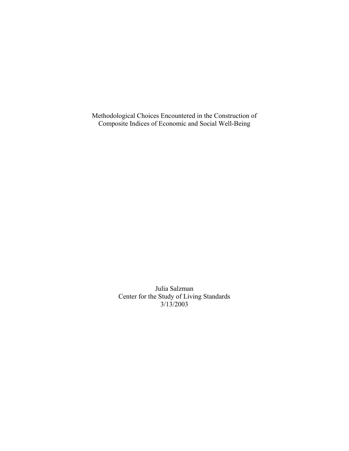Methodological Choices Encountered in the Construction of Composite Indices of Economic and Social Well-Being

> Julia Salzman Center for the Study of Living Standards 3/13/2003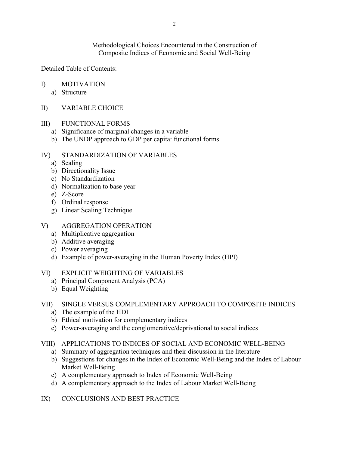Methodological Choices Encountered in the Construction of Composite Indices of Economic and Social Well-Being

Detailed Table of Contents:

- I) MOTIVATION
	- a) Structure
- II) VARIABLE CHOICE

## III) FUNCTIONAL FORMS

- a) Significance of marginal changes in a variable
- b) The UNDP approach to GDP per capita: functional forms

## IV) STANDARDIZATION OF VARIABLES

- a) Scaling
- b) Directionality Issue
- c) No Standardization
- d) Normalization to base year
- e) Z-Score
- f) Ordinal response
- g) Linear Scaling Technique
- V) AGGREGATION OPERATION
	- a) Multiplicative aggregation
	- b) Additive averaging
	- c) Power averaging
	- d) Example of power-averaging in the Human Poverty Index (HPI)
- VI) EXPLICIT WEIGHTING OF VARIABLES
	- a) Principal Component Analysis (PCA)
	- b) Equal Weighting

## VII) SINGLE VERSUS COMPLEMENTARY APPROACH TO COMPOSITE INDICES

- a) The example of the HDI
- b) Ethical motivation for complementary indices
- c) Power-averaging and the conglomerative/deprivational to social indices
- VIII) APPLICATIONS TO INDICES OF SOCIAL AND ECONOMIC WELL-BEING
	- a) Summary of aggregation techniques and their discussion in the literature
	- b) Suggestions for changes in the Index of Economic Well-Being and the Index of Labour Market Well-Being
	- c) A complementary approach to Index of Economic Well-Being
	- d) A complementary approach to the Index of Labour Market Well-Being
- IX) CONCLUSIONS AND BEST PRACTICE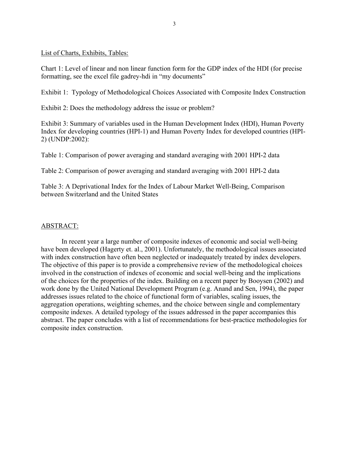List of Charts, Exhibits, Tables:

Chart 1: Level of linear and non linear function form for the GDP index of the HDI (for precise formatting, see the excel file gadrey-hdi in "my documents"

Exhibit 1: Typology of Methodological Choices Associated with Composite Index Construction

Exhibit 2: Does the methodology address the issue or problem?

Exhibit 3: Summary of variables used in the Human Development Index (HDI), Human Poverty Index for developing countries (HPI-1) and Human Poverty Index for developed countries (HPI-2) (UNDP:2002):

Table 1: Comparison of power averaging and standard averaging with 2001 HPI-2 data

Table 2: Comparison of power averaging and standard averaging with 2001 HPI-2 data

Table 3: A Deprivational Index for the Index of Labour Market Well-Being, Comparison between Switzerland and the United States

## ABSTRACT:

In recent year a large number of composite indexes of economic and social well-being have been developed (Hagerty et. al., 2001). Unfortunately, the methodological issues associated with index construction have often been neglected or inadequately treated by index developers. The objective of this paper is to provide a comprehensive review of the methodological choices involved in the construction of indexes of economic and social well-being and the implications of the choices for the properties of the index. Building on a recent paper by Booysen (2002) and work done by the United National Development Program (e.g. Anand and Sen, 1994), the paper addresses issues related to the choice of functional form of variables, scaling issues, the aggregation operations, weighting schemes, and the choice between single and complementary composite indexes. A detailed typology of the issues addressed in the paper accompanies this abstract. The paper concludes with a list of recommendations for best-practice methodologies for composite index construction.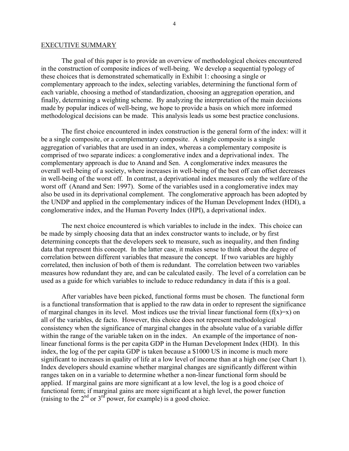#### EXECUTIVE SUMMARY

The goal of this paper is to provide an overview of methodological choices encountered in the construction of composite indices of well-being. We develop a sequential typology of these choices that is demonstrated schematically in Exhibit 1: choosing a single or complementary approach to the index, selecting variables, determining the functional form of each variable, choosing a method of standardization, choosing an aggregation operation, and finally, determining a weighting scheme. By analyzing the interpretation of the main decisions made by popular indices of well-being, we hope to provide a basis on which more informed methodological decisions can be made. This analysis leads us some best practice conclusions.

The first choice encountered in index construction is the general form of the index: will it be a single composite, or a complementary composite. A single composite is a single aggregation of variables that are used in an index, whereas a complementary composite is comprised of two separate indices: a conglomerative index and a deprivational index. The complementary approach is due to Anand and Sen. A conglomerative index measures the overall well-being of a society, where increases in well-being of the best off can offset decreases in well-being of the worst off. In contrast, a deprivational index measures only the welfare of the worst off (Anand and Sen: 1997). Some of the variables used in a conglomerative index may also be used in its deprivational complement. The conglomerative approach has been adopted by the UNDP and applied in the complementary indices of the Human Development Index (HDI), a conglomerative index, and the Human Poverty Index (HPI), a deprivational index.

The next choice encountered is which variables to include in the index. This choice can be made by simply choosing data that an index constructor wants to include, or by first determining concepts that the developers seek to measure, such as inequality, and then finding data that represent this concept. In the latter case, it makes sense to think about the degree of correlation between different variables that measure the concept. If two variables are highly correlated, then inclusion of both of them is redundant. The correlation between two variables measures how redundant they are, and can be calculated easily. The level of a correlation can be used as a guide for which variables to include to reduce redundancy in data if this is a goal.

After variables have been picked, functional forms must be chosen. The functional form is a functional transformation that is applied to the raw data in order to represent the significance of marginal changes in its level. Most indices use the trivial linear functional form  $(f(x)=x)$  on all of the variables, de facto. However, this choice does not represent methodological consistency when the significance of marginal changes in the absolute value of a variable differ within the range of the variable taken on in the index. An example of the importance of nonlinear functional forms is the per capita GDP in the Human Development Index (HDI). In this index, the log of the per capita GDP is taken because a \$1000 US in income is much more significant to increases in quality of life at a low level of income than at a high one (see Chart 1). Index developers should examine whether marginal changes are significantly different within ranges taken on in a variable to determine whether a non-linear functional form should be applied. If marginal gains are more significant at a low level, the log is a good choice of functional form; if marginal gains are more significant at a high level, the power function (raising to the  $2<sup>nd</sup>$  or  $3<sup>rd</sup>$  power, for example) is a good choice.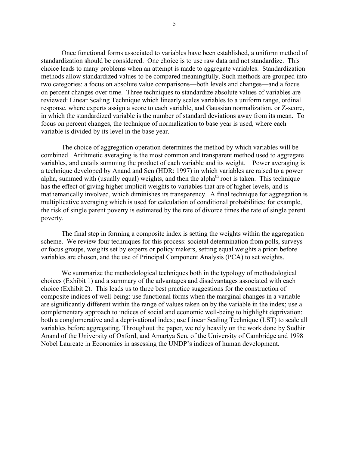Once functional forms associated to variables have been established, a uniform method of standardization should be considered. One choice is to use raw data and not standardize. This choice leads to many problems when an attempt is made to aggregate variables. Standardization methods allow standardized values to be compared meaningfully. Such methods are grouped into two categories: a focus on absolute value comparisons—both levels and changes—and a focus on percent changes over time. Three techniques to standardize absolute values of variables are reviewed: Linear Scaling Technique which linearly scales variables to a uniform range, ordinal response, where experts assign a score to each variable, and Gaussian normalization, or Z-score, in which the standardized variable is the number of standard deviations away from its mean. To focus on percent changes, the technique of normalization to base year is used, where each variable is divided by its level in the base year.

The choice of aggregation operation determines the method by which variables will be combined Arithmetic averaging is the most common and transparent method used to aggregate variables, and entails summing the product of each variable and its weight. Power averaging is a technique developed by Anand and Sen (HDR: 1997) in which variables are raised to a power alpha, summed with (usually equal) weights, and then the alpha<sup>th</sup> root is taken. This technique has the effect of giving higher implicit weights to variables that are of higher levels, and is mathematically involved, which diminishes its transparency. A final technique for aggregation is multiplicative averaging which is used for calculation of conditional probabilities: for example, the risk of single parent poverty is estimated by the rate of divorce times the rate of single parent poverty.

The final step in forming a composite index is setting the weights within the aggregation scheme. We review four techniques for this process: societal determination from polls, surveys or focus groups, weights set by experts or policy makers, setting equal weights a priori before variables are chosen, and the use of Principal Component Analysis (PCA) to set weights.

We summarize the methodological techniques both in the typology of methodological choices (Exhibit 1) and a summary of the advantages and disadvantages associated with each choice (Exhibit 2). This leads us to three best practice suggestions for the construction of composite indices of well-being: use functional forms when the marginal changes in a variable are significantly different within the range of values taken on by the variable in the index; use a complementary approach to indices of social and economic well-being to highlight deprivation: both a conglomerative and a deprivational index; use Linear Scaling Technique (LST) to scale all variables before aggregating. Throughout the paper, we rely heavily on the work done by Sudhir Anand of the University of Oxford, and Amartya Sen, of the University of Cambridge and 1998 Nobel Laureate in Economics in assessing the UNDP's indices of human development.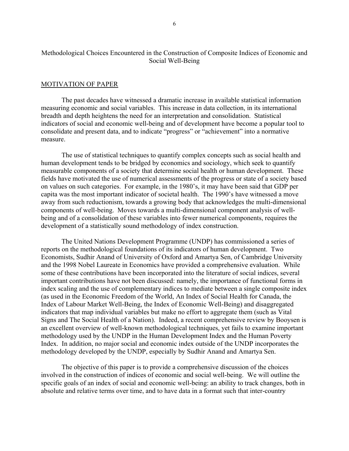## Methodological Choices Encountered in the Construction of Composite Indices of Economic and Social Well-Being

### MOTIVATION OF PAPER

The past decades have witnessed a dramatic increase in available statistical information measuring economic and social variables. This increase in data collection, in its international breadth and depth heightens the need for an interpretation and consolidation. Statistical indicators of social and economic well-being and of development have become a popular tool to consolidate and present data, and to indicate "progress" or "achievement" into a normative measure.

The use of statistical techniques to quantify complex concepts such as social health and human development tends to be bridged by economics and sociology, which seek to quantify measurable components of a society that determine social health or human development. These fields have motivated the use of numerical assessments of the progress or state of a society based on values on such categories. For example, in the 1980's, it may have been said that GDP per capita was the most important indicator of societal health. The 1990's have witnessed a move away from such reductionism, towards a growing body that acknowledges the multi-dimensional components of well-being. Moves towards a multi-dimensional component analysis of wellbeing and of a consolidation of these variables into fewer numerical components, requires the development of a statistically sound methodology of index construction.

The United Nations Development Programme (UNDP) has commissioned a series of reports on the methodological foundations of its indicators of human development. Two Economists, Sudhir Anand of University of Oxford and Amartya Sen, of Cambridge University and the 1998 Nobel Laureate in Economics have provided a comprehensive evaluation. While some of these contributions have been incorporated into the literature of social indices, several important contributions have not been discussed: namely, the importance of functional forms in index scaling and the use of complementary indices to mediate between a single composite index (as used in the Economic Freedom of the World, An Index of Social Health for Canada, the Index of Labour Market Well-Being, the Index of Economic Well-Being) and disaggregated indicators that map individual variables but make no effort to aggregate them (such as Vital Signs and The Social Health of a Nation). Indeed, a recent comprehensive review by Booysen is an excellent overview of well-known methodological techniques, yet fails to examine important methodology used by the UNDP in the Human Development Index and the Human Poverty Index. In addition, no major social and economic index outside of the UNDP incorporates the methodology developed by the UNDP, especially by Sudhir Anand and Amartya Sen.

The objective of this paper is to provide a comprehensive discussion of the choices involved in the construction of indices of economic and social well-being. We will outline the specific goals of an index of social and economic well-being: an ability to track changes, both in absolute and relative terms over time, and to have data in a format such that inter-country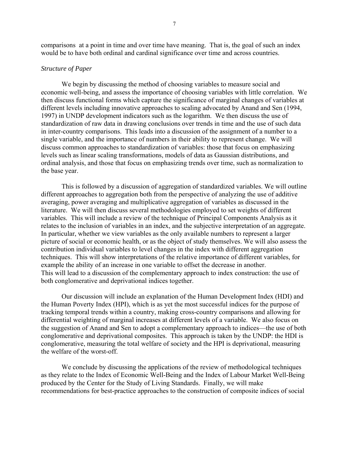comparisons at a point in time and over time have meaning. That is, the goal of such an index would be to have both ordinal and cardinal significance over time and across countries.

### *Structure of Paper*

We begin by discussing the method of choosing variables to measure social and economic well-being, and assess the importance of choosing variables with little correlation. We then discuss functional forms which capture the significance of marginal changes of variables at different levels including innovative approaches to scaling advocated by Anand and Sen (1994, 1997) in UNDP development indicators such as the logarithm. We then discuss the use of standardization of raw data in drawing conclusions over trends in time and the use of such data in inter-country comparisons. This leads into a discussion of the assignment of a number to a single variable, and the importance of numbers in their ability to represent change. We will discuss common approaches to standardization of variables: those that focus on emphasizing levels such as linear scaling transformations, models of data as Gaussian distributions, and ordinal analysis, and those that focus on emphasizing trends over time, such as normalization to the base year.

This is followed by a discussion of aggregation of standardized variables. We will outline different approaches to aggregation both from the perspective of analyzing the use of additive averaging, power averaging and multiplicative aggregation of variables as discussed in the literature. We will then discuss several methodologies employed to set weights of different variables. This will include a review of the technique of Principal Components Analysis as it relates to the inclusion of variables in an index, and the subjective interpretation of an aggregate. In particular, whether we view variables as the only available numbers to represent a larger picture of social or economic health, or as the object of study themselves. We will also assess the contribution individual variables to level changes in the index with different aggregation techniques. This will show interpretations of the relative importance of different variables, for example the ability of an increase in one variable to offset the decrease in another. This will lead to a discussion of the complementary approach to index construction: the use of both conglomerative and deprivational indices together.

Our discussion will include an explanation of the Human Development Index (HDI) and the Human Poverty Index (HPI), which is as yet the most successful indices for the purpose of tracking temporal trends within a country, making cross-country comparisons and allowing for differential weighting of marginal increases at different levels of a variable. We also focus on the suggestion of Anand and Sen to adopt a complementary approach to indices—the use of both conglomerative and deprivational composites. This approach is taken by the UNDP: the HDI is conglomerative, measuring the total welfare of society and the HPI is deprivational, measuring the welfare of the worst-off.

We conclude by discussing the applications of the review of methodological techniques as they relate to the Index of Economic Well-Being and the Index of Labour Market Well-Being produced by the Center for the Study of Living Standards. Finally, we will make recommendations for best-practice approaches to the construction of composite indices of social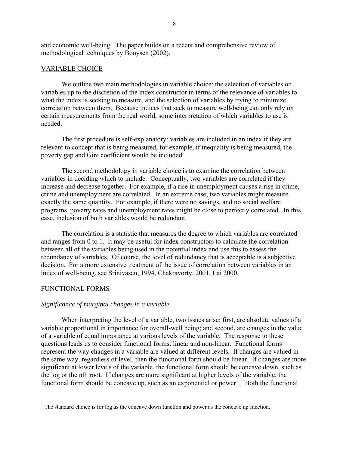and economic well-being. The paper builds on a recent and comprehensive review of methodological techniques by Booysen (2002).

## VARIABLE CHOICE

We outline two main methodologies in variable choice: the selection of variables or variables up to the discretion of the index constructor in terms of the relevance of variables to what the index is seeking to measure, and the selection of variables by trying to minimize correlation between them. Because indices that seek to measure well-being can only rely on certain measurements from the real world, some interpretation of which variables to use is needed.

The first procedure is self-explanatory: variables are included in an index if they are relevant to concept that is being measured, for example, if inequality is being measured, the poverty gap and Gini coefficient would be included.

The second methodology in variable choice is to examine the correlation between variables in deciding which to include. Conceptually, two variables are correlated if they increase and decrease together. For example, if a rise in unemployment causes a rise in crime, crime and unemployment are correlated. In an extreme case, two variables might measure exactly the same quantity. For example, if there were no savings, and no social welfare programs, poverty rates and unemployment rates might be close to perfectly correlated. In this case, inclusion of both variables would be redundant.

The correlation is a statistic that measures the degree to which variables are correlated and ranges from 0 to 1. It may be useful for index constructors to calculate the correlation between all of the variables being used in the potential index and use this to assess the redundancy of variables. Of course, the level of redundancy that is acceptable is a subjective decision. For a more extensive treatment of the issue of correlation between variables in an index of well-being, see Srinivasan, 1994, Chakravorty, 2001, Lai 2000.

## FUNCTIONAL FORMS

 $\overline{a}$ 

## *Significance of marginal changes in a variable*

When interpreting the level of a variable, two issues arise: first, are absolute values of a variable proportional in importance for overall-well being; and second, are changes in the value of a variable of equal importance at various levels of the variable. The response to these questions leads us to consider functional forms: linear and non-linear. Functional forms represent the way changes in a variable are valued at different levels. If changes are valued in the same way, regardless of level, then the functional form should be linear. If changes are more significant at lower levels of the variable, the functional form should be concave down, such as the log or the nth root. If changes are more significant at higher levels of the variable, the functional form should be concave up, such as an exponential or power<sup>1</sup>. Both the functional

<span id="page-7-0"></span><sup>&</sup>lt;sup>1</sup> The standard choice is for log as the concave down function and power as the concave up function.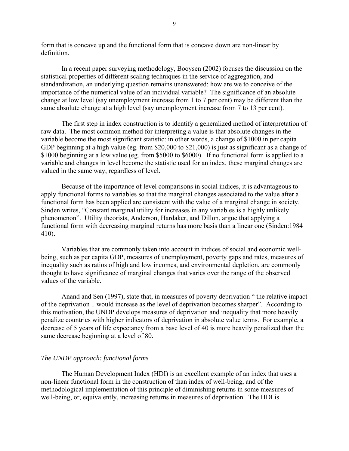form that is concave up and the functional form that is concave down are non-linear by definition.

In a recent paper surveying methodology, Booysen (2002) focuses the discussion on the statistical properties of different scaling techniques in the service of aggregation, and standardization, an underlying question remains unanswered: how are we to conceive of the importance of the numerical value of an individual variable? The significance of an absolute change at low level (say unemployment increase from 1 to 7 per cent) may be different than the same absolute change at a high level (say unemployment increase from 7 to 13 per cent).

The first step in index construction is to identify a generalized method of interpretation of raw data. The most common method for interpreting a value is that absolute changes in the variable become the most significant statistic: in other words, a change of \$1000 in per capita GDP beginning at a high value (eg. from \$20,000 to \$21,000) is just as significant as a change of \$1000 beginning at a low value (eg. from \$5000 to \$6000). If no functional form is applied to a variable and changes in level become the statistic used for an index, these marginal changes are valued in the same way, regardless of level.

Because of the importance of level comparisons in social indices, it is advantageous to apply functional forms to variables so that the marginal changes associated to the value after a functional form has been applied are consistent with the value of a marginal change in society. Sinden writes, "Constant marginal utility for increases in any variables is a highly unlikely phenomenonî. Utility theorists, Anderson, Hardaker, and Dillon, argue that applying a functional form with decreasing marginal returns has more basis than a linear one (Sinden:1984 410).

Variables that are commonly taken into account in indices of social and economic wellbeing, such as per capita GDP, measures of unemployment, poverty gaps and rates, measures of inequality such as ratios of high and low incomes, and environmental depletion, are commonly thought to have significance of marginal changes that varies over the range of the observed values of the variable.

Anand and Sen (1997), state that, in measures of poverty deprivation " the relative impact of the deprivation .. would increase as the level of deprivation becomes sharper". According to this motivation, the UNDP develops measures of deprivation and inequality that more heavily penalize countries with higher indicators of deprivation in absolute value terms. For example, a decrease of 5 years of life expectancy from a base level of 40 is more heavily penalized than the same decrease beginning at a level of 80.

## *The UNDP approach: functional forms*

The Human Development Index (HDI) is an excellent example of an index that uses a non-linear functional form in the construction of than index of well-being, and of the methodological implementation of this principle of diminishing returns in some measures of well-being, or, equivalently, increasing returns in measures of deprivation. The HDI is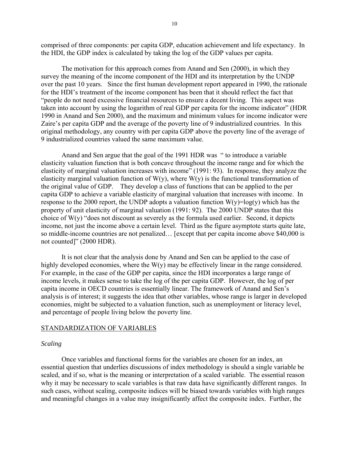comprised of three components: per capita GDP, education achievement and life expectancy. In the HDI, the GDP index is calculated by taking the log of the GDP values per capita.

The motivation for this approach comes from Anand and Sen (2000), in which they survey the meaning of the income component of the HDI and its interpretation by the UNDP over the past 10 years. Since the first human development report appeared in 1990, the rationale for the HDI's treatment of the income component has been that it should reflect the fact that ìpeople do not need excessive financial resources to ensure a decent living. This aspect was taken into account by using the logarithm of real GDP per capita for the income indicator" (HDR 1990 in Anand and Sen 2000), and the maximum and minimum values for income indicator were Zaire's per capita GDP and the average of the poverty line of 9 industrialized countries. In this original methodology, any country with per capita GDP above the poverty line of the average of 9 industrialized countries valued the same maximum value.

Anand and Sen argue that the goal of the 1991 HDR was " to introduce a variable elasticity valuation function that is both concave throughout the income range and for which the elasticity of marginal valuation increases with income"  $(1991: 93)$ . In response, they analyze the elasticity marginal valuation function of  $W(y)$ , where  $W(y)$  is the functional transformation of the original value of GDP. They develop a class of functions that can be applied to the per capita GDP to achieve a variable elasticity of marginal valuation that increases with income. In response to the 2000 report, the UNDP adopts a valuation function  $W(y)=log(y)$  which has the property of unit elasticity of marginal valuation (1991: 92). The 2000 UNDP states that this choice of  $W(y)$  "does not discount as severely as the formula used earlier. Second, it depicts income, not just the income above a certain level. Third as the figure asymptote starts quite late, so middle-income countries are not penalized... [except that per capita income above  $$40,000$  is not counted]" (2000 HDR).

It is not clear that the analysis done by Anand and Sen can be applied to the case of highly developed economies, where the W(y) may be effectively linear in the range considered. For example, in the case of the GDP per capita, since the HDI incorporates a large range of income levels, it makes sense to take the log of the per capita GDP. However, the log of per capita income in OECD countries is essentially linear. The framework of Anand and Sen's analysis is of interest; it suggests the idea that other variables, whose range is larger in developed economies, might be subjected to a valuation function, such as unemployment or literacy level, and percentage of people living below the poverty line.

#### STANDARDIZATION OF VARIABLES

#### *Scaling*

Once variables and functional forms for the variables are chosen for an index, an essential question that underlies discussions of index methodology is should a single variable be scaled, and if so, what is the meaning or interpretation of a scaled variable. The essential reason why it may be necessary to scale variables is that raw data have significantly different ranges. In such cases, without scaling, composite indices will be biased towards variables with high ranges and meaningful changes in a value may insignificantly affect the composite index. Further, the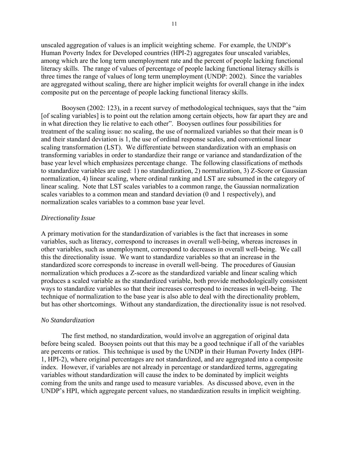unscaled aggregation of values is an implicit weighting scheme. For example, the UNDP's Human Poverty Index for Developed countries (HPI-2) aggregates four unscaled variables, among which are the long term unemployment rate and the percent of people lacking functional literacy skills. The range of values of percentage of people lacking functional literacy skills is three times the range of values of long term unemployment (UNDP: 2002). Since the variables are aggregated without scaling, there are higher implicit weights for overall change in ithe index composite put on the percentage of people lacking functional literacy skills.

Booysen  $(2002: 123)$ , in a recent survey of methodological techniques, says that the "aim" [of scaling variables] is to point out the relation among certain objects, how far apart they are and in what direction they lie relative to each other". Booysen outlines four possibilities for treatment of the scaling issue: no scaling, the use of normalized variables so that their mean is 0 and their standard deviation is 1, the use of ordinal response scales, and conventional linear scaling transformation (LST). We differentiate between standardization with an emphasis on transforming variables in order to standardize their range or variance and standardization of the base year level which emphasizes percentage change. The following classifications of methods to standardize variables are used: 1) no standardization, 2) normalization, 3) Z-Score or Gaussian normalization, 4) linear scaling, where ordinal ranking and LST are subsumed in the category of linear scaling. Note that LST scales variables to a common range, the Gaussian normalization scales variables to a common mean and standard deviation (0 and 1 respectively), and normalization scales variables to a common base year level.

## *Directionality Issue*

A primary motivation for the standardization of variables is the fact that increases in some variables, such as literacy, correspond to increases in overall well-being, whereas increases in other variables, such as unemployment, correspond to decreases in overall well-being. We call this the directionality issue. We want to standardize variables so that an increase in the standardized score corresponds to increase in overall well-being. The procedures of Gausian normalization which produces a Z-score as the standardized variable and linear scaling which produces a scaled variable as the standardized variable, both provide methodologically consistent ways to standardize variables so that their increases correspond to increases in well-being. The technique of normalization to the base year is also able to deal with the directionality problem, but has other shortcomings. Without any standardization, the directionality issue is not resolved.

## *No Standardization*

The first method, no standardization, would involve an aggregation of original data before being scaled. Booysen points out that this may be a good technique if all of the variables are percents or ratios. This technique is used by the UNDP in their Human Poverty Index (HPI-1, HPI-2), where original percentages are not standardized, and are aggregated into a composite index. However, if variables are not already in percentage or standardized terms, aggregating variables without standardization will cause the index to be dominated by implicit weights coming from the units and range used to measure variables. As discussed above, even in the UNDP's HPI, which aggregate percent values, no standardization results in implicit weighting.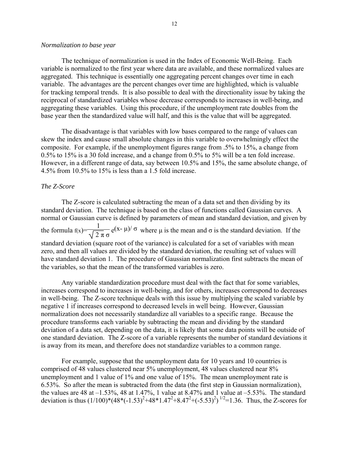#### *Normalization to base year*

The technique of normalization is used in the Index of Economic Well-Being. Each variable is normalized to the first year where data are available, and these normalized values are aggregated. This technique is essentially one aggregating percent changes over time in each variable. The advantages are the percent changes over time are highlighted, which is valuable for tracking temporal trends. It is also possible to deal with the directionality issue by taking the reciprocal of standardized variables whose decrease corresponds to increases in well-being, and aggregating these variables. Using this procedure, if the unemployment rate doubles from the base year then the standardized value will half, and this is the value that will be aggregated.

The disadvantage is that variables with low bases compared to the range of values can skew the index and cause small absolute changes in this variable to overwhelmingly effect the composite. For example, if the unemployment figures range from .5% to 15%, a change from 0.5% to 15% is a 30 fold increase, and a change from 0.5% to 5% will be a ten fold increase. However, in a different range of data, say between 10.5% and 15%, the same absolute change, of 4.5% from 10.5% to 15% is less than a 1.5 fold increase.

## *The Z-Score*

The Z-score is calculated subtracting the mean of a data set and then dividing by its standard deviation. The technique is based on the class of functions called Gaussian curves. A normal or Gaussian curve is defined by parameters of mean and standard deviation, and given by the formula  $f(x) = \frac{1}{\sqrt{2}}$  2 π σ  $e^{(\mathbf{x}-\mu)/\sigma}$  where  $\mu$  is the mean and  $\sigma$  is the standard deviation. If the standard deviation (square root of the variance) is calculated for a set of variables with mean zero, and then all values are divided by the standard deviation, the resulting set of values will have standard deviation 1. The procedure of Gaussian normalization first subtracts the mean of the variables, so that the mean of the transformed variables is zero.

Any variable standardization procedure must deal with the fact that for some variables, increases correspond to increases in well-being, and for others, increases correspond to decreases in well-being. The Z-score technique deals with this issue by multiplying the scaled variable by negative 1 if increases correspond to decreased levels in well being. However, Gaussian normalization does not necessarily standardize all variables to a specific range. Because the procedure transforms each variable by subtracting the mean and dividing by the standard deviation of a data set, depending on the data, it is likely that some data points will be outside of one standard deviation. The Z-score of a variable represents the number of standard deviations it is away from its mean, and therefore does not standardize variables to a common range.

For example, suppose that the unemployment data for 10 years and 10 countries is comprised of 48 values clustered near 5% unemployment, 48 values clustered near 8% unemployment and 1 value of 1% and one value of 15%. The mean unemployment rate is 6.53%. So after the mean is subtracted from the data (the first step in Gaussian normalization), the values are 48 at  $-1.53\%$ , 48 at 1.47%, 1 value at 8.47% and 1 value at  $-5.53\%$ . The standard deviation is thus  $(1/100)*(48*(-1.53)^{2}+48*1.47^{2}+8.47^{2}+(-5.53)^{2})^{1/2}=1.36$ . Thus, the Z-scores for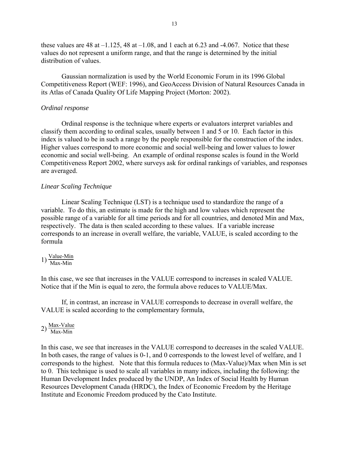these values are 48 at  $-1.125$ , 48 at  $-1.08$ , and 1 each at 6.23 and -4.067. Notice that these values do not represent a uniform range, and that the range is determined by the initial distribution of values.

Gaussian normalization is used by the World Economic Forum in its 1996 Global Competitiveness Report (WEF: 1996), and GeoAccess Division of Natural Resources Canada in its Atlas of Canada Quality Of Life Mapping Project (Morton: 2002).

## *Ordinal response*

Ordinal response is the technique where experts or evaluators interpret variables and classify them according to ordinal scales, usually between 1 and 5 or 10. Each factor in this index is valued to be in such a range by the people responsible for the construction of the index. Higher values correspond to more economic and social well-being and lower values to lower economic and social well-being. An example of ordinal response scales is found in the World Competitiveness Report 2002, where surveys ask for ordinal rankings of variables, and responses are averaged.

## *Linear Scaling Technique*

Linear Scaling Technique (LST) is a technique used to standardize the range of a variable. To do this, an estimate is made for the high and low values which represent the possible range of a variable for all time periods and for all countries, and denoted Min and Max, respectively. The data is then scaled according to these values. If a variable increase corresponds to an increase in overall welfare, the variable, VALUE, is scaled according to the formula

1) Value-Min Max-Min

In this case, we see that increases in the VALUE correspond to increases in scaled VALUE. Notice that if the Min is equal to zero, the formula above reduces to VALUE/Max.

If, in contrast, an increase in VALUE corresponds to decrease in overall welfare, the VALUE is scaled according to the complementary formula,

2) Max-Value<br>Max-Min

In this case, we see that increases in the VALUE correspond to decreases in the scaled VALUE. In both cases, the range of values is 0-1, and 0 corresponds to the lowest level of welfare, and 1 corresponds to the highest. Note that this formula reduces to (Max-Value)/Max when Min is set to 0. This technique is used to scale all variables in many indices, including the following: the Human Development Index produced by the UNDP, An Index of Social Health by Human Resources Development Canada (HRDC), the Index of Economic Freedom by the Heritage Institute and Economic Freedom produced by the Cato Institute.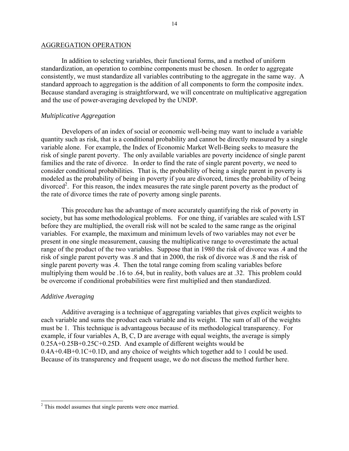#### AGGREGATION OPERATION

In addition to selecting variables, their functional forms, and a method of uniform standardization, an operation to combine components must be chosen. In order to aggregate consistently, we must standardize all variables contributing to the aggregate in the same way. A standard approach to aggregation is the addition of all components to form the composite index. Because standard averaging is straightforward, we will concentrate on multiplicative aggregation and the use of power-averaging developed by the UNDP.

## *Multiplicative Aggregation*

Developers of an index of social or economic well-being may want to include a variable quantity such as risk, that is a conditional probability and cannot be directly measured by a single variable alone. For example, the Index of Economic Market Well-Being seeks to measure the risk of single parent poverty. The only available variables are poverty incidence of single parent families and the rate of divorce. In order to find the rate of single parent poverty, we need to consider conditional probabilities. That is, the probability of being a single parent in poverty is modeled as the probability of being in poverty if you are divorced, times the probability of being divorced<sup>2</sup>. For this reason, the index measures the rate single parent poverty as the product of the rate of divorce times the rate of poverty among single parents.

This procedure has the advantage of more accurately quantifying the risk of poverty in society, but has some methodological problems. For one thing, if variables are scaled with LST before they are multiplied, the overall risk will not be scaled to the same range as the original variables. For example, the maximum and minimum levels of two variables may not ever be present in one single measurement, causing the multiplicative range to overestimate the actual range of the product of the two variables. Suppose that in 1980 the risk of divorce was .4 and the risk of single parent poverty was .8 and that in 2000, the risk of divorce was .8 and the risk of single parent poverty was .4. Then the total range coming from scaling variables before multiplying them would be .16 to .64, but in reality, both values are at .32. This problem could be overcome if conditional probabilities were first multiplied and then standardized.

#### *Additive Averaging*

 $\overline{a}$ 

Additive averaging is a technique of aggregating variables that gives explicit weights to each variable and sums the product each variable and its weight. The sum of all of the weights must be 1. This technique is advantageous because of its methodological transparency. For example, if four variables A, B, C, D are average with equal weights, the average is simply 0.25A+0.25B+0.25C+0.25D. And example of different weights would be 0.4A+0.4B+0.1C+0.1D, and any choice of weights which together add to 1 could be used. Because of its transparency and frequent usage, we do not discuss the method further here.

<span id="page-13-0"></span> $2^2$  This model assumes that single parents were once married.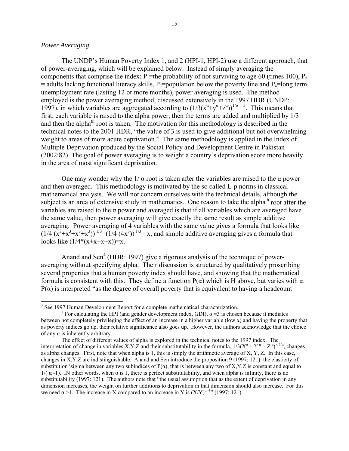## *Power Averaging*

 $\overline{a}$ 

The UNDP's Human Poverty Index 1, and 2 (HPI-1, HPI-2) use a different approach, that of power-averaging, which will be explained below. Instead of simply averaging the components that comprise the index:  $P_1$ =the probability of not surviving to age 60 (times 100),  $P_2$  $=$  adults lacking functional literacy skills, P<sub>3</sub>=population below the poverty line and P<sub>4</sub>=long term unemployment rate (lasting 12 or more months), power averaging is used. The method employed is the power averaging method, discussed extensively in the 1997 HDR (UNDP: 1997), in which variables are aggregated according to  $(1/3(x^{\alpha}+y^{\alpha}+z^{\alpha}))^{1/\alpha}$  $(1/3(x^{\alpha}+y^{\alpha}+z^{\alpha}))^{1/\alpha}$  $(1/3(x^{\alpha}+y^{\alpha}+z^{\alpha}))^{1/\alpha}$ <sup>3</sup>. This means that first, each variable is raised to the alpha power, then the terms are added and multiplied by 1/3 and then the alpha<sup>th</sup> root is taken. The motivation for this methodology is described in the technical notes to the 2001 HDR, "the value of 3 is used to give additional but not overwhelming weight to areas of more acute deprivation." The same methodology is applied in the Index of Multiple Deprivation produced by the Social Policy and Development Centre in Pakistan  $(2002:82)$ . The goal of power averaging is to weight a country's deprivation score more heavily in the area of most significant deprivation.

One may wonder why the  $1/\alpha$  root is taken after the variables are raised to the  $\alpha$  power and then averaged. This methodology is motivated by the so called L-p norms in classical mathematical analysis. We will not concern ourselves with the technical details, although the subject is an area of extensive study in mathematics. One reason to take the alpha<sup>th</sup> root after the variables are raised to the  $\alpha$  power and averaged is that if all variables which are averaged have the same value, then power averaging will give exactly the same result as simple additive averaging. Power averaging of 4 variables with the same value gives a formula that looks like  $(1/4 \left( \overline{X}^{3}+\overline{X}^{3}+\overline{X}^{3}+\overline{X}^{3} \right))$   $^{1/3}=(1/4 \left( 4\overline{X}^{3}\right))$   $^{1/3}=x$ , and simple additive averaging gives a formula that looks like  $(1/4*(x+x+x+x))=x$ .

Anand and Sen<sup>4</sup> (HDR: 1997) give a rigorous analysis of the technique of poweraveraging without specifying alpha. Their discussion is structured by qualitatively proscribing several properties that a human poverty index should have, and showing that the mathematical formula is consistent with this. They define a function P(α) which is H above, but varies with α.  $P(\alpha)$  is interpreted "as the degree of overall poverty that is equivalent to having a headcount

<span id="page-14-0"></span><sup>&</sup>lt;sup>3</sup> See 1997 Human Development Report for a complete mathematical characterization.

<span id="page-14-1"></span><sup>&</sup>lt;sup>4</sup> For calculating the HPI (and gender development index, GDI),  $\alpha$  = 3 is chosen because it mediates between not completely privileging the effect of an increase in a higher variable (low  $\alpha$ ) and having the property that as poverty indices go up, their relative significance also goes up. However, the authors acknowledge that the choice of any α is inherently arbitrary.

The effect of different values of alpha is explored in the technical notes to the 1997 index. The interpretation of change in variables X,Y,Z and their substitutability in the formula,  $1/3(X^{\alpha} + Y^{\alpha} + Z^{\alpha})^{\wedge 1/\alpha}$ , changes as alpha changes. First, note that when alpha is 1, this is simply the arithmetic average of  $X, Y, Z$ . In this case, changes in X,Y,Z are indistinguishable. Anand and Sen introduce the proposition 9 (1997: 121): the elasticity of substitution \sigma between any two subindices of  $P(\alpha)$ , that is between any two of X,Y,Z is constant and equal to  $1/(\alpha -1)$ . IN other words, when α is 1, there is perfect substitutability, and when alpha is infinity, there is no substitutability (1997: 121). The authors note that "the usual assumption that as the extent of deprivation in any dimension increases, the weight on further additions to deprivation in that dimension should also increase. For this we need  $\alpha$  >1. The increase in X compared to an increase in Y is  $(X/Y)^{\alpha-1}$ <sup>0</sup> (1997: 121).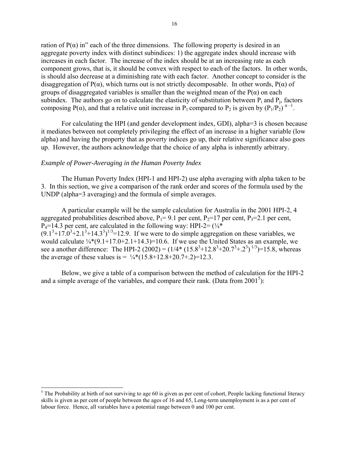ration of  $P(\alpha)$  in" each of the three dimensions. The following property is desired in an aggregate poverty index with distinct subindices: 1) the aggregate index should increase with increases in each factor. The increase of the index should be at an increasing rate as each component grows, that is, it should be convex with respect to each of the factors. In other words, is should also decrease at a diminishing rate with each factor. Another concept to consider is the disaggregation of P( $\alpha$ ), which turns out is not strictly decomposable. In other words, P( $\alpha$ ) of groups of disaggregated variables is smaller than the weighted mean of the  $P(\alpha)$  on each subindex. The authors go on to calculate the elasticity of substitution between  $P_i$  and  $P_j$ , factors composing P( $\alpha$ ), and that a relative unit increase in P<sub>1</sub> compared to P<sub>2</sub> is given by  $(P_1/P_2)^{\alpha-1}$ .

For calculating the HPI (and gender development index, GDI), alpha=3 is chosen because it mediates between not completely privileging the effect of an increase in a higher variable (low alpha) and having the property that as poverty indices go up, their relative significance also goes up. However, the authors acknowledge that the choice of any alpha is inherently arbitrary.

### *Example of Power-Averaging in the Human Poverty Index*

l

The Human Poverty Index (HPI-1 and HPI-2) use alpha averaging with alpha taken to be 3. In this section, we give a comparison of the rank order and scores of the formula used by the UNDP (alpha=3 averaging) and the formula of simple averages.

A particular example will be the sample calculation for Australia in the 2001 HPI-2, 4 aggregated probabilities described above,  $P_1 = 9.1$  per cent,  $P_2 = 17$  per cent,  $P_3 = 2.1$  per cent,  $P_4=14.3$  per cent, are calculated in the following way: HPI-2=  $(\frac{1}{4})^*$  $(9.1^3 + 17.0^3 + 2.1^3 + 14.3^3)^{1/3} = 12.9$ . If we were to do simple aggregation on these variables, we would calculate  $\frac{1}{4}$ (9.1+17.0+2.1+14.3)=10.6. If we use the United States as an example, we see a another difference: The HPI-2 (2002) =  $(1/4*(15.8^3+12.8^3+20.7^3+2^3)^{1/3})=15.8$ , whereas the average of these values is  $= \frac{1}{4}*(15.8+12.8+20.7+0.2)=12.3$ .

Below, we give a table of a comparison between the method of calculation for the HPI-2 and a simple average of the variables, and compare their rank. (Data from  $2001<sup>5</sup>$  $2001<sup>5</sup>$  $2001<sup>5</sup>$ ):

<span id="page-15-0"></span> $<sup>5</sup>$  The Probability at birth of not surviving to age 60 is given as per cent of cohort, People lacking functional literacy</sup> skills is given as per cent of people between the ages of 16 and 65, Long-term unemployment is as a per cent of labour force. Hence, all variables have a potential range between 0 and 100 per cent.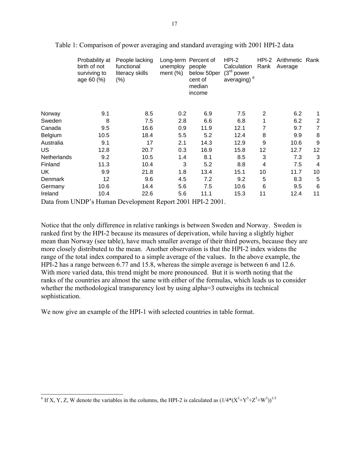|             | Probability at<br>birth of not<br>surviving to<br>age 60 (%) | People lacking<br>functional<br>literacy skills<br>$(\% )$ | unemploy<br>ment $(\%)$ | Long-term Percent of<br>people<br>below 50per<br>cent of<br>median<br>income | HPI-2<br>Calculation<br>(3 <sup>rd</sup> power)<br>averaging) <sup>6</sup> | $HPI-2$<br>Rank | Arithmetic Rank<br>Average |                |
|-------------|--------------------------------------------------------------|------------------------------------------------------------|-------------------------|------------------------------------------------------------------------------|----------------------------------------------------------------------------|-----------------|----------------------------|----------------|
| Norway      | 9.1                                                          | 8.5                                                        | 0.2                     | 6.9                                                                          | 7.5                                                                        | 2               | 6.2                        |                |
| Sweden      | 8                                                            | 7.5                                                        | 2.8                     | 6.6                                                                          | 6.8                                                                        |                 | 6.2                        | $\overline{2}$ |
| Canada      | 9.5                                                          | 16.6                                                       | 0.9                     | 11.9                                                                         | 12.1                                                                       | 7               | 9.7                        | $\overline{7}$ |
| Belgium     | 10.5                                                         | 18.4                                                       | 5.5                     | 5.2                                                                          | 12.4                                                                       | 8               | 9.9                        | 8              |
| Australia   | 9.1                                                          | 17                                                         | 2.1                     | 14.3                                                                         | 12.9                                                                       | 9               | 10.6                       | 9              |
| US          | 12.8                                                         | 20.7                                                       | 0.3                     | 16.9                                                                         | 15.8                                                                       | 12              | 12.7                       | 12             |
| Netherlands | 9.2                                                          | 10.5                                                       | 1.4                     | 8.1                                                                          | 8.5                                                                        | 3               | 7.3                        | 3              |
| Finland     | 11.3                                                         | 10.4                                                       | 3                       | 5.2                                                                          | 8.8                                                                        | 4               | 7.5                        | 4              |
| UK          | 9.9                                                          | 21.8                                                       | 1.8                     | 13.4                                                                         | 15.1                                                                       | 10              | 11.7                       | 10             |
| Denmark     | 12                                                           | 9.6                                                        | 4.5                     | 7.2                                                                          | 9.2                                                                        | 5               | 8.3                        | 5              |
| Germany     | 10.6                                                         | 14.4                                                       | 5.6                     | 7.5                                                                          | 10.6                                                                       | 6               | 9.5                        | 6              |
| Ireland     | 10.4                                                         | 22.6                                                       | 5.6                     | 11.1                                                                         | 15.3                                                                       | 11              | 12.4                       | 11             |
|             |                                                              |                                                            |                         |                                                                              |                                                                            |                 |                            |                |

Table 1: Comparison of power averaging and standard averaging with 2001 HPI-2 data

Data from UNDP's Human Development Report 2001 HPI-2 2001.

Notice that the only difference in relative rankings is between Sweden and Norway. Sweden is ranked first by the HPI-2 because its measures of deprivation, while having a slightly higher mean than Norway (see table), have much smaller average of their third powers, because they are more closely distributed to the mean. Another observation is that the HPI-2 index widens the range of the total index compared to a simple average of the values. In the above example, the HPI-2 has a range between 6.77 and 15.8, whereas the simple average is between 6 and 12.6. With more varied data, this trend might be more pronounced. But it is worth noting that the ranks of the countries are almost the same with either of the formulas, which leads us to consider whether the methodological transparency lost by using alpha=3 outweighs its technical sophistication.

We now give an example of the HPI-1 with selected countries in table format.

<span id="page-16-0"></span><sup>&</sup>lt;sup>6</sup> If X, Y, Z, W denote the variables in the columns, the HPI-2 is calculated as  $(1/4*(X^3+Y^3+Z^3+W^3))^{1/3}$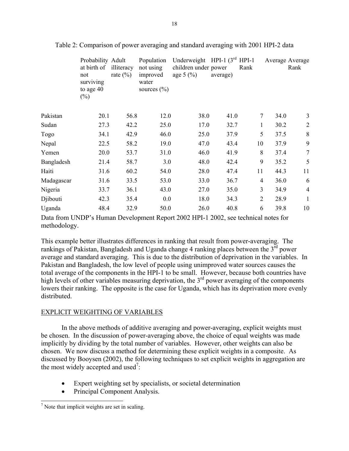|            | Probability Adult<br>at birth of<br>not<br>surviving<br>to age 40<br>$(\%)$ | illiteracy<br>rate $(\% )$ | Population<br>not using<br>improved<br>water<br>sources $(\% )$ | Underweight HPI-1 $(3^{rd} HPI-1)$<br>children under power<br>age $5(%)$ | average) | Rank           | Average Average | Rank           |
|------------|-----------------------------------------------------------------------------|----------------------------|-----------------------------------------------------------------|--------------------------------------------------------------------------|----------|----------------|-----------------|----------------|
| Pakistan   | 20.1                                                                        | 56.8                       | 12.0                                                            | 38.0                                                                     | 41.0     | $\overline{7}$ | 34.0            | 3              |
| Sudan      | 27.3                                                                        | 42.2                       | 25.0                                                            | 17.0                                                                     | 32.7     | 1              | 30.2            | $\overline{2}$ |
| Togo       | 34.1                                                                        | 42.9                       | 46.0                                                            | 25.0                                                                     | 37.9     | 5              | 37.5            | 8              |
| Nepal      | 22.5                                                                        | 58.2                       | 19.0                                                            | 47.0                                                                     | 43.4     | 10             | 37.9            | 9              |
| Yemen      | 20.0                                                                        | 53.7                       | 31.0                                                            | 46.0                                                                     | 41.9     | 8              | 37.4            | $\overline{7}$ |
| Bangladesh | 21.4                                                                        | 58.7                       | 3.0                                                             | 48.0                                                                     | 42.4     | 9              | 35.2            | 5              |
| Haiti      | 31.6                                                                        | 60.2                       | 54.0                                                            | 28.0                                                                     | 47.4     | 11             | 44.3            | 11             |
| Madagascar | 31.6                                                                        | 33.5                       | 53.0                                                            | 33.0                                                                     | 36.7     | 4              | 36.0            | 6              |
| Nigeria    | 33.7                                                                        | 36.1                       | 43.0                                                            | 27.0                                                                     | 35.0     | 3              | 34.9            | $\overline{4}$ |
| Djibouti   | 42.3                                                                        | 35.4                       | 0.0                                                             | 18.0                                                                     | 34.3     | 2              | 28.9            | $\mathbf{1}$   |
| Uganda     | 48.4                                                                        | 32.9                       | 50.0                                                            | 26.0                                                                     | 40.8     | 6              | 39.8            | 10             |

Table 2: Comparison of power averaging and standard averaging with 2001 HPI-2 data

Data from UNDP's Human Development Report 2002 HPI-1 2002, see technical notes for methodology.

This example better illustrates differences in ranking that result from power-averaging. The rankings of Pakistan, Bangladesh and Uganda change 4 ranking places between the  $3<sup>rd</sup>$  power average and standard averaging. This is due to the distribution of deprivation in the variables. In Pakistan and Bangladesh, the low level of people using unimproved water sources causes the total average of the components in the HPI-1 to be small. However, because both countries have high levels of other variables measuring deprivation, the  $3<sup>rd</sup>$  power averaging of the components lowers their ranking. The opposite is the case for Uganda, which has its deprivation more evenly distributed.

## EXPLICIT WEIGHTING OF VARIABLES

In the above methods of additive averaging and power-averaging, explicit weights must be chosen. In the discussion of power-averaging above, the choice of equal weights was made implicitly by dividing by the total number of variables. However, other weights can also be chosen. We now discuss a method for determining these explicit weights in a composite. As discussed by Booysen (2002), the following techniques to set explicit weights in aggregation are the most widely accepted and used<sup>[7](#page-17-0)</sup>:

- Expert weighting set by specialists, or societal determination
- Principal Component Analysis.

<span id="page-17-0"></span> $\frac{1}{\sqrt{7}}$  Note that implicit weights are set in scaling.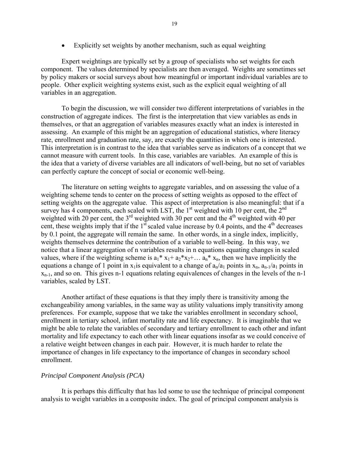• Explicitly set weights by another mechanism, such as equal weighting

Expert weightings are typically set by a group of specialists who set weights for each component. The values determined by specialists are then averaged. Weights are sometimes set by policy makers or social surveys about how meaningful or important individual variables are to people. Other explicit weighting systems exist, such as the explicit equal weighting of all variables in an aggregation.

To begin the discussion, we will consider two different interpretations of variables in the construction of aggregate indices. The first is the interpretation that view variables as ends in themselves, or that an aggregation of variables measures exactly what an index is interested in assessing. An example of this might be an aggregation of educational statistics, where literacy rate, enrollment and graduation rate, say, are exactly the quantities in which one is interested. This interpretation is in contrast to the idea that variables serve as indicators of a concept that we cannot measure with current tools. In this case, variables are variables. An example of this is the idea that a variety of diverse variables are all indicators of well-being, but no set of variables can perfectly capture the concept of social or economic well-being.

The literature on setting weights to aggregate variables, and on assessing the value of a weighting scheme tends to center on the process of setting weights as opposed to the effect of setting weights on the aggregate value. This aspect of interpretation is also meaningful: that if a survey has 4 components, each scaled with LST, the  $1<sup>st</sup>$  weighted with 10 per cent, the  $2<sup>nd</sup>$ weighted with 20 per cent, the  $3<sup>rd</sup>$  weighted with 30 per cent and the 4<sup>th</sup> weighted with 40 per cent, these weights imply that if the  $1<sup>st</sup>$  scaled value increase by 0.4 points, and the  $4<sup>th</sup>$  decreases by 0.1 point, the aggregate will remain the same. In other words, in a single index, implicitly, weights themselves determine the contribution of a variable to well-being. In this way, we notice that a linear aggregation of n variables results in n equations equating changes in scaled values, where if the weighting scheme is  $a_1^* x_1 + a_2^* x_2 + \ldots a_n^* x_n$ , then we have implicitly the equations a change of 1 point in x<sub>1</sub> is equivalent to a change of  $a_n/a_1$  points in x<sub>n</sub>,  $a_{n-1}/a_1$  points in  $x_{n-1}$ , and so on. This gives n-1 equations relating equivalences of changes in the levels of the n-1 variables, scaled by LST.

Another artifact of these equations is that they imply there is transitivity among the exchangeability among variables, in the same way as utility valuations imply transitivity among preferences. For example, suppose that we take the variables enrollment in secondary school, enrollment in tertiary school, infant mortality rate and life expectancy. It is imaginable that we might be able to relate the variables of secondary and tertiary enrollment to each other and infant mortality and life expectancy to each other with linear equations insofar as we could conceive of a relative weight between changes in each pair. However, it is much harder to relate the importance of changes in life expectancy to the importance of changes in secondary school enrollment.

## *Principal Component Analysis (PCA)*

It is perhaps this difficulty that has led some to use the technique of principal component analysis to weight variables in a composite index. The goal of principal component analysis is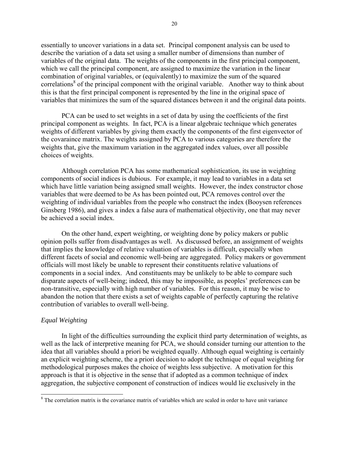essentially to uncover variations in a data set. Principal component analysis can be used to describe the variation of a data set using a smaller number of dimensions than number of variables of the original data. The weights of the components in the first principal component, which we call the principal component, are assigned to maximize the variation in the linear combination of original variables, or (equivalently) to maximize the sum of the squared correlations<sup>[8](#page-19-0)</sup> of the principal component with the original variable. Another way to think about this is that the first principal component is represented by the line in the original space of variables that minimizes the sum of the squared distances between it and the original data points.

PCA can be used to set weights in a set of data by using the coefficients of the first principal component as weights. In fact, PCA is a linear algebraic technique which generates weights of different variables by giving them exactly the components of the first eigenvector of the covaraince matrix. The weights assigned by PCA to various categories are therefore the weights that, give the maximum variation in the aggregated index values, over all possible choices of weights.

Although correlation PCA has some mathematical sophistication, its use in weighting components of social indices is dubious. For example, it may lead to variables in a data set which have little variation being assigned small weights. However, the index constructor chose variables that were deemed to be As has been pointed out, PCA removes control over the weighting of individual variables from the people who construct the index (Booysen references Ginsberg 1986), and gives a index a false aura of mathematical objectivity, one that may never be achieved a social index.

On the other hand, expert weighting, or weighting done by policy makers or public opinion polls suffer from disadvantages as well. As discussed before, an assignment of weights that implies the knowledge of relative valuation of variables is difficult, especially when different facets of social and economic well-being are aggregated. Policy makers or government officials will most likely be unable to represent their constituents relative valuations of components in a social index. And constituents may be unlikely to be able to compare such disparate aspects of well-being; indeed, this may be impossible, as peoples' preferences can be non-transitive, especially with high number of variables. For this reason, it may be wise to abandon the notion that there exists a set of weights capable of perfectly capturing the relative contribution of variables to overall well-being.

## *Equal Weighting*

In light of the difficulties surrounding the explicit third party determination of weights, as well as the lack of interpretive meaning for PCA, we should consider turning our attention to the idea that all variables should a priori be weighted equally. Although equal weighting is certainly an explicit weighting scheme, the a priori decision to adopt the technique of equal weighting for methodological purposes makes the choice of weights less subjective. A motivation for this approach is that it is objective in the sense that if adopted as a common technique of index aggregation, the subjective component of construction of indices would lie exclusively in the

<span id="page-19-0"></span><sup>&</sup>lt;sup>8</sup> The correlation matrix is the covariance matrix of variables which are scaled in order to have unit variance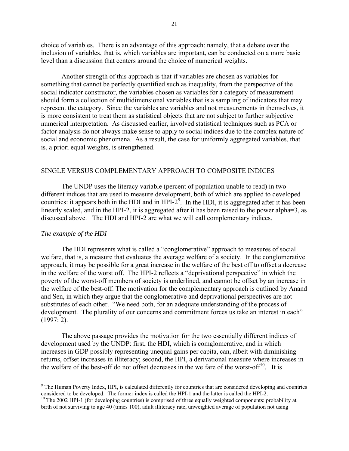<span id="page-20-1"></span>choice of variables. There is an advantage of this approach: namely, that a debate over the inclusion of variables, that is, which variables are important, can be conducted on a more basic level than a discussion that centers around the choice of numerical weights.

Another strength of this approach is that if variables are chosen as variables for something that cannot be perfectly quantified such as inequality, from the perspective of the social indicator constructor, the variables chosen as variables for a category of measurement should form a collection of multidimensional variables that is a sampling of indicators that may represent the category. Since the variables are variables and not measurements in themselves, it is more consistent to treat them as statistical objects that are not subject to further subjective numerical interpretation. As discussed earlier, involved statistical techniques such as PCA or factor analysis do not always make sense to apply to social indices due to the complex nature of social and economic phenomena. As a result, the case for uniformly aggregated variables, that is, a priori equal weights, is strengthened.

## SINGLE VERSUS COMPLEMENTARY APPROACH TO COMPOSITE INDICES

The UNDP uses the literacy variable (percent of population unable to read) in two different indices that are used to measure development, both of which are applied to developed countries: it appears both in the HDI and in HPI- $2<sup>9</sup>$  $2<sup>9</sup>$  $2<sup>9</sup>$ . In the HDI, it is aggregated after it has been linearly scaled, and in the HPI-2, it is aggregated after it has been raised to the power alpha=3, as discussed above. The HDI and HPI-2 are what we will call complementary indices.

### *The example of the HDI*

 $\overline{a}$ 

The HDI represents what is called a "conglomerative" approach to measures of social welfare, that is, a measure that evaluates the average welfare of a society. In the conglomerative approach, it may be possible for a great increase in the welfare of the best off to offset a decrease in the welfare of the worst off. The HPI-2 reflects a "deprivational perspective" in which the poverty of the worst-off members of society is underlined, and cannot be offset by an increase in the welfare of the best-off. The motivation for the complementary approach is outlined by Anand and Sen, in which they argue that the conglomerative and deprivational perspectives are not substitutes of each other. "We need both, for an adequate understanding of the process of development. The plurality of our concerns and commitment forces us take an interest in each<sup>"</sup>  $(1997: 2)$ .

The above passage provides the motivation for the two essentially different indices of development used by the UNDP: first, the HDI, which is comglomerative, and in which increases in GDP possibly representing unequal gains per capita, can, albeit with diminishing returns, offset increases in illiteracy; second, the HPI, a derivational measure where increases in the welfare of the best-off do not offset decreases in the welfare of the worst-off<sup>10</sup>. It is

<span id="page-20-0"></span> $9$  The Human Poverty Index, HPI, is calculated differently for countries that are considered developing and countries considered to be developed. The former index is called the HPI-1 and the latter is called the HPI-2. <sup>10</sup> The 2002 HPI-1 (for developing countries) is comprised of three equally weighted components: probability at

birth of not surviving to age 40 (times 100), adult illiteracy rate, unweighted average of population not using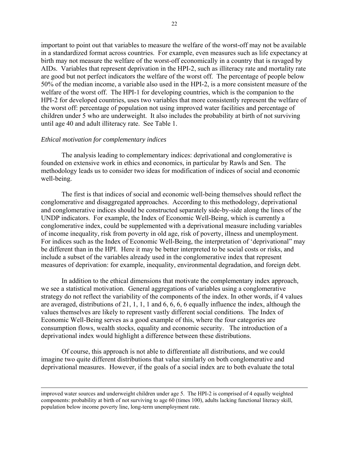important to point out that variables to measure the welfare of the worst-off may not be available in a standardized format across countries. For example, even measures such as life expectancy at birth may not measure the welfare of the worst-off economically in a country that is ravaged by AIDs. Variables that represent deprivation in the HPI-2, such as illiteracy rate and mortality rate are good but not perfect indicators the welfare of the worst off. The percentage of people below 50% of the median income, a variable also used in the HPI-2, is a more consistent measure of the welfare of the worst off. The HPI-1 for developing countries, which is the companion to the HPI-2 for developed countries, uses two variables that more consistently represent the welfare of the worst off: percentage of population not using improved water facilities and percentage of children under 5 who are underweight. It also includes the probability at birth of not surviving until age 40 and adult illiteracy rate. See Table 1.

### *Ethical motivation for complementary indices*

l

The analysis leading to complementary indices: deprivational and conglomerative is founded on extensive work in ethics and economics, in particular by Rawls and Sen. The methodology leads us to consider two ideas for modification of indices of social and economic well-being.

The first is that indices of social and economic well-being themselves should reflect the conglomerative and disaggregated approaches. According to this methodology, deprivational and conglomerative indices should be constructed separately side-by-side along the lines of the UNDP indicators. For example, the Index of Economic Well-Being, which is currently a conglomerative index, could be supplemented with a deprivational measure including variables of income inequality, risk from poverty in old age, risk of poverty, illness and unemployment. For indices such as the Index of Economic Well-Being, the interpretation of 'deprivational'' may be different than in the HPI. Here it may be better interpreted to be social costs or risks, and include a subset of the variables already used in the conglomerative index that represent measures of deprivation: for example, inequality, environmental degradation, and foreign debt.

In addition to the ethical dimensions that motivate the complementary index approach, we see a statistical motivation. General aggregations of variables using a conglomerative strategy do not reflect the variability of the components of the index. In other words, if 4 values are averaged, distributions of 21, 1, 1, 1 and 6, 6, 6, 6 equally influence the index, although the values themselves are likely to represent vastly different social conditions. The Index of Economic Well-Being serves as a good example of this, where the four categories are consumption flows, wealth stocks, equality and economic security. The introduction of a deprivational index would highlight a difference between these distributions.

Of course, this approach is not able to differentiate all distributions, and we could imagine two quite different distributions that value similarly on both conglomerative and deprivational measures. However, if the goals of a social index are to both evaluate the total

improved water sources and underweight children under age 5. The HPI-2 is comprised of 4 equally weighted components: probability at birth of not surviving to age 60 (times 100), adults lacking functional literacy skill, population below income poverty line, long-term unemployment rate.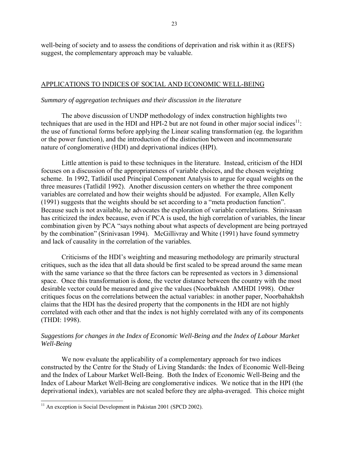well-being of society and to assess the conditions of deprivation and risk within it as (REFS) suggest, the complementary approach may be valuable.

## APPLICATIONS TO INDICES OF SOCIAL AND ECONOMIC WELL-BEING

### *Summary of aggregation techniques and their discussion in the literature*

The above discussion of UNDP methodology of index construction highlights two techniques that are used in the HDI and HPI-2 but are not found in other major social indices<sup>11</sup>: the use of functional forms before applying the Linear scaling transformation (eg. the logarithm or the power function), and the introduction of the distinction between and incommensurate nature of conglomerative (HDI) and deprivational indices (HPI).

Little attention is paid to these techniques in the literature. Instead, criticism of the HDI focuses on a discussion of the appropriateness of variable choices, and the chosen weighting scheme. In 1992, Tatlidil used Principal Component Analysis to argue for equal weights on the three measures (Tatlidil 1992). Another discussion centers on whether the three component variables are correlated and how their weights should be adjusted. For example, Allen Kelly  $(1991)$  suggests that the weights should be set according to a "meta production function". Because such is not available, he advocates the exploration of variable correlations. Srinivasan has criticized the index because, even if PCA is used, the high correlation of variables, the linear combination given by PCA "says nothing about what aspects of development are being portrayed by the combination" (Srinivasan 1994). McGillivray and White (1991) have found symmetry and lack of causality in the correlation of the variables.

Criticisms of the HDI's weighting and measuring methodology are primarily structural critiques, such as the idea that all data should be first scaled to be spread around the same mean with the same variance so that the three factors can be represented as vectors in 3 dimensional space. Once this transformation is done, the vector distance between the country with the most desirable vector could be measured and give the values (Noorbakhsh AMHDI 1998). Other critiques focus on the correlations between the actual variables: in another paper, Noorbahakhsh claims that the HDI has the desired property that the components in the HDI are not highly correlated with each other and that the index is not highly correlated with any of its components (THDI: 1998).

## *Suggestions for changes in the Index of Economic Well-Being and the Index of Labour Market Well-Being*

We now evaluate the applicability of a complementary approach for two indices constructed by the Centre for the Study of Living Standards: the Index of Economic Well-Being and the Index of Labour Market Well-Being. Both the Index of Economic Well-Being and the Index of Labour Market Well-Being are conglomerative indices. We notice that in the HPI (the deprivational index), variables are not scaled before they are alpha-averaged. This choice might

 $\overline{a}$ 

<span id="page-22-0"></span> $11$  An exception is Social Development in Pakistan 2001 (SPCD 2002).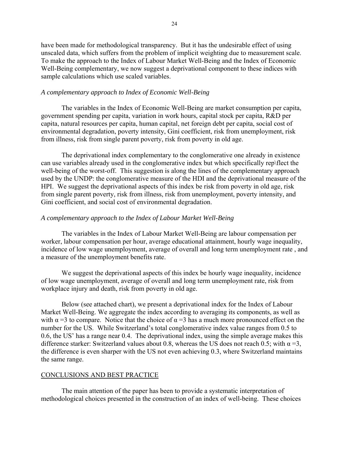have been made for methodological transparency. But it has the undesirable effect of using unscaled data, which suffers from the problem of implicit weighting due to measurement scale. To make the approach to the Index of Labour Market Well-Being and the Index of Economic Well-Being complementary, we now suggest a deprivational component to these indices with sample calculations which use scaled variables.

## *A complementary approach to Index of Economic Well-Being*

The variables in the Index of Economic Well-Being are market consumption per capita, government spending per capita, variation in work hours, capital stock per capita, R&D per capita, natural resources per capita, human capital, net foreign debt per capita, social cost of environmental degradation, poverty intensity, Gini coefficient, risk from unemployment, risk from illness, risk from single parent poverty, risk from poverty in old age.

The deprivational index complementary to the conglomerative one already in existence can use variables already used in the conglomerative index but which specifically rep\flect the well-being of the worst-off. This suggestion is along the lines of the complementary approach used by the UNDP: the conglomerative measure of the HDI and the deprivational measure of the HPI. We suggest the deprivational aspects of this index be risk from poverty in old age, risk from single parent poverty, risk from illness, risk from unemployment, poverty intensity, and Gini coefficient, and social cost of environmental degradation.

## *A complementary approach to the Index of Labour Market Well-Being*

The variables in the Index of Labour Market Well-Being are labour compensation per worker, labour compensation per hour, average educational attainment, hourly wage inequality, incidence of low wage unemployment, average of overall and long term unemployment rate , and a measure of the unemployment benefits rate.

We suggest the deprivational aspects of this index be hourly wage inequality, incidence of low wage unemployment, average of overall and long term unemployment rate, risk from workplace injury and death, risk from poverty in old age.

Below (see attached chart), we present a deprivational index for the Index of Labour Market Well-Being. We aggregate the index according to averaging its components, as well as with  $\alpha = 3$  to compare. Notice that the choice of  $\alpha = 3$  has a much more pronounced effect on the number for the US. While Switzerland's total conglomerative index value ranges from 0.5 to 0.6, the US<sup> $\cdot$ </sup> has a range near 0.4. The deprivational index, using the simple average makes this difference starker: Switzerland values about 0.8, whereas the US does not reach 0.5; with  $\alpha = 3$ , the difference is even sharper with the US not even achieving 0.3, where Switzerland maintains the same range.

### CONCLUSIONS AND BEST PRACTICE

The main attention of the paper has been to provide a systematic interpretation of methodological choices presented in the construction of an index of well-being. These choices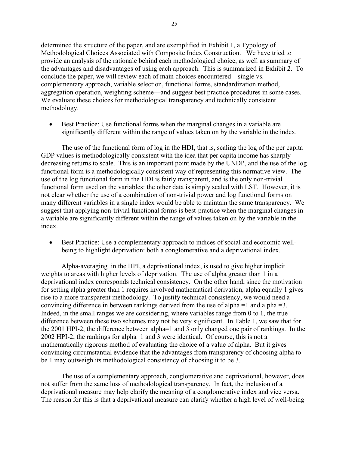determined the structure of the paper, and are exemplified in Exhibit 1, a Typology of Methodological Choices Associated with Composite Index Construction. We have tried to provide an analysis of the rationale behind each methodological choice, as well as summary of the advantages and disadvantages of using each approach. This is summarized in Exhibit 2. To conclude the paper, we will review each of main choices encountered—single vs. complementary approach, variable selection, functional forms, standardization method, aggregation operation, weighting scheme—and suggest best practice procedures in some cases. We evaluate these choices for methodological transparency and technically consistent methodology.

• Best Practice: Use functional forms when the marginal changes in a variable are significantly different within the range of values taken on by the variable in the index.

The use of the functional form of log in the HDI, that is, scaling the log of the per capita GDP values is methodologically consistent with the idea that per capita income has sharply decreasing returns to scale. This is an important point made by the UNDP, and the use of the log functional form is a methodologically consistent way of representing this normative view. The use of the log functional form in the HDI is fairly transparent, and is the only non-trivial functional form used on the variables: the other data is simply scaled with LST. However, it is not clear whether the use of a combination of non-trivial power and log functional forms on many different variables in a single index would be able to maintain the same transparency. We suggest that applying non-trivial functional forms is best-practice when the marginal changes in a variable are significantly different within the range of values taken on by the variable in the index.

• Best Practice: Use a complementary approach to indices of social and economic wellbeing to highlight deprivation: both a conglomerative and a deprivational index.

Alpha-averaging in the HPI, a deprivational index, is used to give higher implicit weights to areas with higher levels of deprivation. The use of alpha greater than 1 in a deprivational index corresponds technical consistency. On the other hand, since the motivation for setting alpha greater than 1 requires involved mathematical derivation, alpha equally 1 gives rise to a more transparent methodology. To justify technical consistency, we would need a convincing difference in between rankings derived from the use of alpha =1 and alpha =3. Indeed, in the small ranges we are considering, where variables range from 0 to 1, the true difference between these two schemes may not be very significant. In Table 1, we saw that for the 2001 HPI-2, the difference between alpha=1 and 3 only changed one pair of rankings. In the 2002 HPI-2, the rankings for alpha=1 and 3 were identical. Of course, this is not a mathematically rigorous method of evaluating the choice of a value of alpha. But it gives convincing circumstantial evidence that the advantages from transparency of choosing alpha to be 1 may outweigh its methodological consistency of choosing it to be 3.

The use of a complementary approach, conglomerative and deprivational, however, does not suffer from the same loss of methodological transparency. In fact, the inclusion of a deprivational measure may help clarify the meaning of a conglomerative index and vice versa. The reason for this is that a deprivational measure can clarify whether a high level of well-being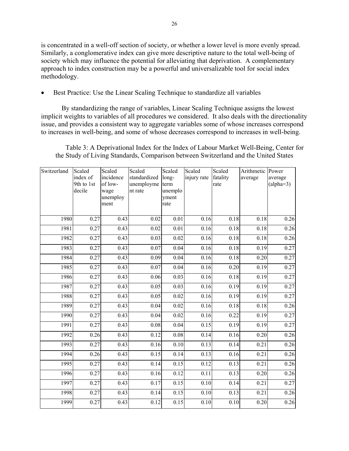is concentrated in a well-off section of society, or whether a lower level is more evenly spread. Similarly, a conglomerative index can give more descriptive nature to the total well-being of society which may influence the potential for alleviating that deprivation. A complementary approach to index construction may be a powerful and universalizable tool for social index methodology.

• Best Practice: Use the Linear Scaling Technique to standardize all variables

By standardizing the range of variables, Linear Scaling Technique assigns the lowest implicit weights to variables of all procedures we considered. It also deals with the directionality issue, and provides a consistent way to aggregate variables some of whose increases correspond to increases in well-being, and some of whose decreases correspond to increases in well-being.

Table 3: A Deprivational Index for the Index of Labour Market Well-Being, Center for the Study of Living Standards, Comparison between Switzerland and the United States

| Switzerland | Scaled<br>index of<br>9th to 1st<br>decile | Scaled<br>incidence<br>of low-<br>wage<br>unemploy<br>ment | Scaled<br>standardized<br>unemployme<br>nt rate | Scaled<br>long-<br>term<br>unemplo<br>yment<br>rate | Scaled<br>injury rate | Scaled<br>fatality<br>rate | Arithmetic Power<br>average | average<br>$(alpha=3)$ |
|-------------|--------------------------------------------|------------------------------------------------------------|-------------------------------------------------|-----------------------------------------------------|-----------------------|----------------------------|-----------------------------|------------------------|
|             |                                            |                                                            |                                                 |                                                     |                       |                            |                             |                        |
| 1980        | 0.27                                       | 0.43                                                       | 0.02                                            | 0.01                                                | 0.16                  | 0.18                       | 0.18                        | 0.26                   |
| 1981        | 0.27                                       | 0.43                                                       | 0.02                                            | 0.01                                                | 0.16                  | 0.18                       | 0.18                        | 0.26                   |
| 1982        | 0.27                                       | 0.43                                                       | 0.03                                            | 0.02                                                | 0.16                  | 0.18                       | 0.18                        | 0.26                   |
| 1983        | 0.27                                       | 0.43                                                       | 0.07                                            | 0.04                                                | 0.16                  | 0.18                       | 0.19                        | 0.27                   |
| 1984        | 0.27                                       | 0.43                                                       | 0.09                                            | 0.04                                                | 0.16                  | 0.18                       | 0.20                        | 0.27                   |
| 1985        | 0.27                                       | 0.43                                                       | 0.07                                            | 0.04                                                | 0.16                  | 0.20                       | 0.19                        | 0.27                   |
| 1986        | 0.27                                       | 0.43                                                       | 0.06                                            | 0.03                                                | 0.16                  | 0.18                       | 0.19                        | 0.27                   |
| 1987        | 0.27                                       | 0.43                                                       | 0.05                                            | 0.03                                                | 0.16                  | 0.19                       | 0.19                        | 0.27                   |
| 1988        | 0.27                                       | 0.43                                                       | 0.05                                            | 0.02                                                | 0.16                  | 0.19                       | 0.19                        | 0.27                   |
| 1989        | 0.27                                       | 0.43                                                       | 0.04                                            | 0.02                                                | 0.16                  | 0.18                       | 0.18                        | 0.26                   |
| 1990        | 0.27                                       | 0.43                                                       | 0.04                                            | 0.02                                                | 0.16                  | 0.22                       | 0.19                        | 0.27                   |
| 1991        | 0.27                                       | 0.43                                                       | 0.08                                            | 0.04                                                | 0.15                  | 0.19                       | 0.19                        | 0.27                   |
| 1992        | 0.26                                       | 0.43                                                       | 0.12                                            | 0.08                                                | 0.14                  | 0.16                       | 0.20                        | 0.26                   |
| 1993        | 0.27                                       | 0.43                                                       | 0.16                                            | 0.10                                                | 0.13                  | 0.14                       | 0.21                        | 0.26                   |
| 1994        | 0.26                                       | 0.43                                                       | 0.15                                            | 0.14                                                | 0.13                  | 0.16                       | 0.21                        | 0.26                   |
| 1995        | 0.27                                       | 0.43                                                       | 0.14                                            | 0.15                                                | 0.12                  | 0.13                       | 0.21                        | 0.26                   |
| 1996        | 0.27                                       | 0.43                                                       | 0.16                                            | 0.12                                                | 0.11                  | 0.13                       | 0.20                        | $\overline{0.26}$      |
| 1997        | 0.27                                       | 0.43                                                       | 0.17                                            | 0.15                                                | 0.10                  | 0.14                       | 0.21                        | 0.27                   |
| 1998        | 0.27                                       | 0.43                                                       | 0.14                                            | 0.15                                                | 0.10                  | 0.13                       | 0.21                        | 0.26                   |
| 1999        | 0.27                                       | 0.43                                                       | 0.12                                            | 0.15                                                | 0.10                  | 0.10                       | 0.20                        | 0.26                   |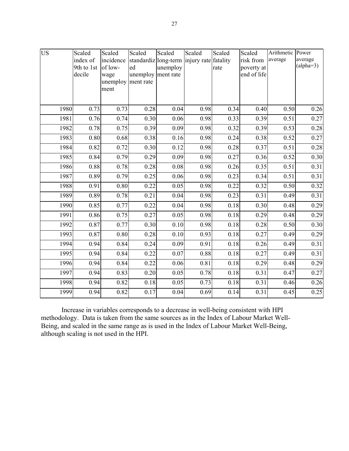| <b>US</b> | Scaled     | Scaled    | Scaled             | Scaled   | Scaled                                    | Scaled | Scaled      | Arithmetic | Power       |
|-----------|------------|-----------|--------------------|----------|-------------------------------------------|--------|-------------|------------|-------------|
|           | index of   | incidence |                    |          | standardiz long-term injury rate fatality |        | risk from   | average    | average     |
|           | 9th to 1st | of low-   | ed                 | unemploy |                                           | rate   | poverty at  |            | $(alpha=3)$ |
|           | decile     | wage      | unemploy ment rate |          |                                           |        | end of life |            |             |
|           |            | unemploy  | ment rate          |          |                                           |        |             |            |             |
|           |            | ment      |                    |          |                                           |        |             |            |             |
|           |            |           |                    |          |                                           |        |             |            |             |
| 1980      | 0.73       | 0.73      | 0.28               | 0.04     | 0.98                                      | 0.34   | 0.40        | 0.50       | 0.26        |
| 1981      | 0.76       | 0.74      | 0.30               | 0.06     | 0.98                                      | 0.33   | 0.39        | 0.51       | 0.27        |
| 1982      | 0.78       | 0.75      | 0.39               | 0.09     | 0.98                                      | 0.32   | 0.39        | 0.53       | 0.28        |
| 1983      | 0.80       | 0.68      | 0.38               | 0.16     | 0.98                                      | 0.24   | 0.38        | 0.52       | 0.27        |
| 1984      | 0.82       | 0.72      | 0.30               | 0.12     | 0.98                                      | 0.28   | 0.37        | 0.51       | 0.28        |
| 1985      | 0.84       | 0.79      | 0.29               | 0.09     | 0.98                                      | 0.27   | 0.36        | 0.52       | 0.30        |
| 1986      | 0.88       | 0.78      | 0.28               | 0.08     | 0.98                                      | 0.26   | 0.35        | 0.51       | 0.31        |
| 1987      | 0.89       | 0.79      | 0.25               | 0.06     | 0.98                                      | 0.23   | 0.34        | 0.51       | 0.31        |
| 1988      | 0.91       | 0.80      | 0.22               | 0.05     | 0.98                                      | 0.22   | 0.32        | 0.50       | 0.32        |
| 1989      | 0.89       | 0.78      | 0.21               | 0.04     | 0.98                                      | 0.23   | 0.31        | 0.49       | 0.31        |
| 1990      | 0.85       | 0.77      | 0.22               | 0.04     | 0.98                                      | 0.18   | 0.30        | 0.48       | 0.29        |
| 1991      | 0.86       | 0.75      | 0.27               | 0.05     | 0.98                                      | 0.18   | 0.29        | 0.48       | 0.29        |
| 1992      | 0.87       | 0.77      | 0.30               | 0.10     | 0.98                                      | 0.18   | 0.28        | 0.50       | 0.30        |
| 1993      | 0.87       | 0.80      | 0.28               | 0.10     | 0.93                                      | 0.18   | 0.27        | 0.49       | 0.29        |
| 1994      | 0.94       | 0.84      | 0.24               | 0.09     | 0.91                                      | 0.18   | 0.26        | 0.49       | 0.31        |
| 1995      | 0.94       | 0.84      | 0.22               | 0.07     | 0.88                                      | 0.18   | 0.27        | 0.49       | 0.31        |
| 1996      | 0.94       | 0.84      | 0.22               | 0.06     | 0.81                                      | 0.18   | 0.29        | 0.48       | 0.29        |
| 1997      | 0.94       | 0.83      | 0.20               | 0.05     | 0.78                                      | 0.18   | 0.31        | 0.47       | 0.27        |
| 1998      | 0.94       | 0.82      | 0.18               | 0.05     | 0.73                                      | 0.18   | 0.31        | 0.46       | 0.26        |
| 1999      | 0.94       | 0.82      | 0.17               | 0.04     | 0.69                                      | 0.14   | 0.31        | 0.45       | 0.25        |

Increase in variables corresponds to a decrease in well-being consistent with HPI methodology. Data is taken from the same sources as in the Index of Labour Market Well-Being, and scaled in the same range as is used in the Index of Labour Market Well-Being, although scaling is not used in the HPI.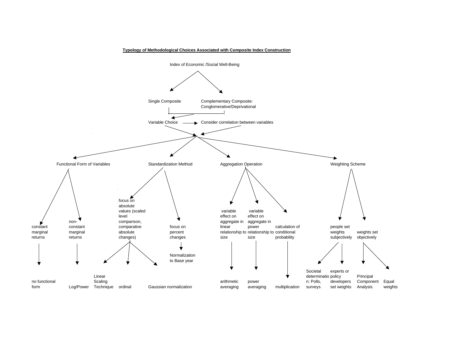

#### **Typology of Methodological Choices Associated with Composite Index Construction**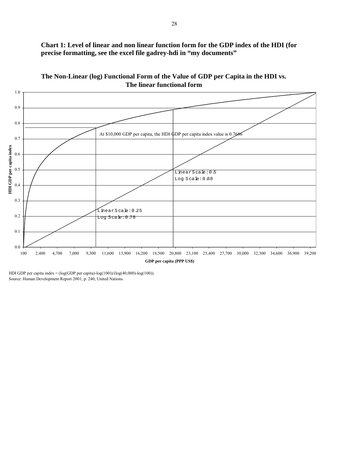**Chart 1: Level of linear and non linear function form for the GDP index of the HDI (for precise formatting, see the excel file gadrey-hdi in "my documents"** 



**The Non-Linear (log) Functional Form of the Value of GDP per Capita in the HDI vs. The linear functional form**

HDI GDP per capita index = (log(GDP per capita)-log(100))/(log(40,000)-log(100)). Source: Human Development Report 2001, p. 240, United Nations.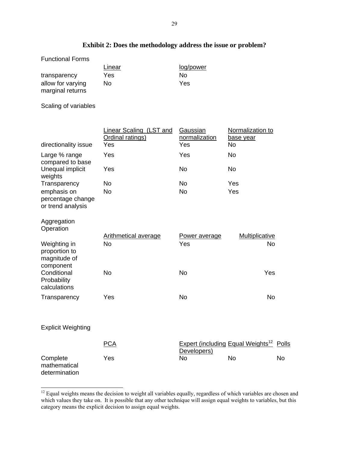# **Exhibit 2: Does the methodology address the issue or problem?**

| <b>Functional Forms</b> |        |           |
|-------------------------|--------|-----------|
|                         | Linear | log/power |
| transparency            | Yes    | Nο        |
| allow for varying       | No     | Yes       |
| marginal returns        |        |           |

Scaling of variables

l

|                                                            | <b>Linear Scaling (LST and</b><br>Ordinal ratings) | Gaussian<br>normalization | Normalization to<br><u>base year</u>                |           |
|------------------------------------------------------------|----------------------------------------------------|---------------------------|-----------------------------------------------------|-----------|
| directionality issue                                       | Yes                                                | Yes                       | <b>No</b>                                           |           |
| Large % range<br>compared to base                          | Yes                                                | Yes                       | <b>No</b>                                           |           |
| Unequal implicit<br>weights                                | Yes                                                | <b>No</b>                 | No                                                  |           |
| Transparency                                               | <b>No</b>                                          | <b>No</b>                 | Yes                                                 |           |
| emphasis on<br>percentage change<br>or trend analysis      | <b>No</b>                                          | <b>No</b>                 | Yes                                                 |           |
| Aggregation<br>Operation                                   |                                                    |                           |                                                     |           |
|                                                            | <b>Arithmetical average</b>                        | Power average             | <b>Multiplicative</b>                               |           |
| Weighting in<br>proportion to<br>magnitude of<br>component | <b>No</b>                                          | Yes                       | <b>No</b>                                           |           |
| Conditional<br>Probability<br>calculations                 | <b>No</b>                                          | <b>No</b>                 | Yes                                                 |           |
| Transparency                                               | Yes                                                | <b>No</b>                 | <b>No</b>                                           |           |
| <b>Explicit Weighting</b>                                  |                                                    |                           |                                                     |           |
|                                                            | <b>PCA</b>                                         | Developers)               | Expert (including Equal Weights <sup>12</sup> Polls |           |
| Complete<br>mathematical<br>determination                  | Yes                                                | <b>No</b>                 | <b>No</b>                                           | <b>No</b> |

<span id="page-29-0"></span> $12$  Equal weights means the decision to weight all variables equally, regardless of which variables are chosen and which values they take on. It is possible that any other technique will assign equal weights to variables, but this category means the explicit decision to assign equal weights.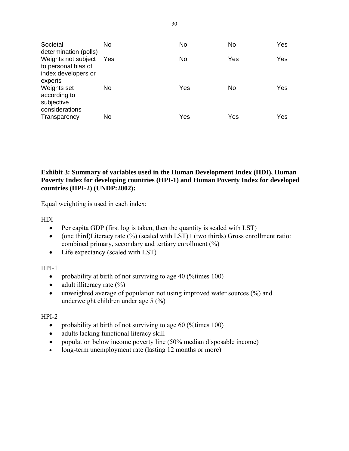| Societal<br>determination (polls)                                            | No  | No  | No  | Yes |
|------------------------------------------------------------------------------|-----|-----|-----|-----|
| Weights not subject<br>to personal bias of<br>index developers or<br>experts | Yes | No  | Yes | Yes |
| Weights set<br>according to<br>subjective<br>considerations                  | No  | Yes | No. | Yes |
| Transparency                                                                 | No  | Yes | Yes | Yes |

## **Exhibit 3: Summary of variables used in the Human Development Index (HDI), Human Poverty Index for developing countries (HPI-1) and Human Poverty Index for developed countries (HPI-2) (UNDP:2002):**

Equal weighting is used in each index:

HDI

- Per capita GDP (first log is taken, then the quantity is scaled with LST)
- (one third)Literacy rate  $(\%)$  (scaled with LST)+ (two thirds) Gross enrollment ratio: combined primary, secondary and tertiary enrollment (%)
- Life expectancy (scaled with LST)

HPI-1

- probability at birth of not surviving to age 40 (% times 100)
- adult illiteracy rate  $(\%)$
- unweighted average of population not using improved water sources (%) and underweight children under age 5 (%)

## HPI-2

- probability at birth of not surviving to age 60 (% times 100)
- adults lacking functional literacy skill
- population below income poverty line (50% median disposable income)
- long-term unemployment rate (lasting 12 months or more)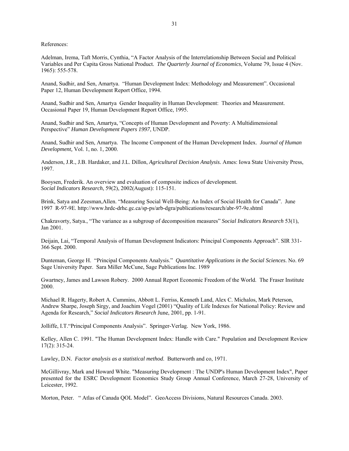References:

Adelman, Irema, Taft Morris, Cynthia, "A Factor Analysis of the Interrelationship Between Social and Political Variables and Per Capita Gross National Product. *The Quarterly Journal of Economics*, Volume 79, Issue 4 (Nov. 1965): 555-578.

Anand, Sudhir, and Sen, Amartya. "Human Development Index: Methodology and Measurement". Occasional Paper 12, Human Development Report Office, 1994.

Anand, Sudhir and Sen, Amartya Gender Inequality in Human Development: Theories and Measurement. Occasional Paper 19, Human Development Report Office, 1995.

Anand, Sudhir and Sen, Amartya, "Concepts of Human Development and Poverty: A Multidimensional Perspectiveî *Human Development Papers 1997*, UNDP.

Anand, Sudhir and Sen, Amartya. The Income Component of the Human Development Index. *Journal of Human Development,* Vol. 1, no. 1, 2000.

Anderson, J.R., J.B. Hardaker, and J.L. Dillon, *Agricultural Decision Analysis.* Ames: Iowa State University Press, 1997.

Booysen, Frederik. An overview and evaluation of composite indices of development. *Social Indicators Research*, 59(2), 2002(August): 115-151.

Brink, Satya and Zeesman, Allen. "Measuring Social Well-Being: An Index of Social Health for Canada". June 1997 R-97-9E. http://www.hrdc-drhc.gc.ca/sp-ps/arb-dgra/publications/research/abr-97-9e.shtml

Chakravorty, Satya., "The variance as a subgroup of decomposition measures" *Social Indicators Research* 53(1), Jan 2001.

Deijain, Lai, "Temporal Analysis of Human Development Indicators: Principal Components Approach". SIR 331-366 Sept. 2000.

Dunteman, George H. "Principal Components Analysis." *Quantitative Applications in the Social Sciences*. No. 69 Sage University Paper. Sara Miller McCune, Sage Publications Inc. 1989

Gwartney, James and Lawson Robery. 2000 Annual Report Economic Freedom of the World. The Fraser Institute 2000.

Michael R. Hagerty, Robert A. Cummins, Abbott L. Ferriss, Kenneth Land, Alex C. Michalos, Mark Peterson, Andrew Sharpe, Joseph Sirgy, and Joachim Vogel (2001) "Quality of Life Indexes for National Policy: Review and Agenda for Research," Social Indicators Research June, 2001, pp. 1-91.

Jolliffe, I.T."Principal Components Analysis". Springer-Verlag. New York, 1986.

Kelley, Allen C. 1991. "The Human Development Index: Handle with Care." Population and Development Review 17(2): 315-24.

Lawley, D.N. *Factor analysis as a statistical method*. Butterworth and co, 1971.

McGillivray, Mark and Howard White. "Measuring Development : The UNDP's Human Development Index", Paper presented for the ESRC Development Economics Study Group Annual Conference, March 27-28, University of Leicester, 1992.

Morton, Peter. " Atlas of Canada QOL Model". GeoAccess Divisions, Natural Resources Canada. 2003.